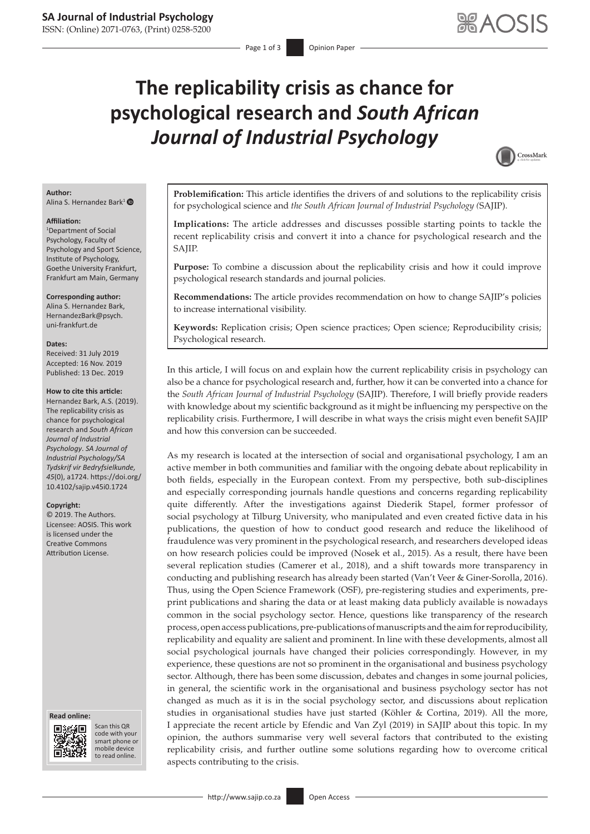# **The replicability crisis as chance for psychological research and** *South African Journal of Industrial Psychology*



## **Author:**

Alina S. Hernandez Bark<sup>[1](https://orcid.org/0000-0003-2175-5229)</sup>  $\bullet$ 

#### **Affiliation:**

1 Department of Social Psychology, Faculty of Psychology and Sport Science, Institute of Psychology, Goethe University Frankfurt, Frankfurt am Main, Germany

**Corresponding author:** Alina S. Hernandez Bark,

[HernandezBark@psych.](mailto:HernandezBark@psych.uni-frankfurt.de) [uni-frankfurt.de](mailto:HernandezBark@psych.uni-frankfurt.de)

#### **Dates:**

Received: 31 July 2019 Accepted: 16 Nov. 2019 Published: 13 Dec. 2019

#### **How to cite this article:**

Hernandez Bark, A.S. (2019). The replicability crisis as chance for psychological research and *South African Journal of Industrial Psychology*. *SA Journal of Industrial Psychology/SA Tydskrif vir Bedryfsielkunde, 45*(0), a1724. [https://doi.org/](https://doi.org/10.4102/sajip.v45i0.1724) [10.4102/sajip.v45i0.1724](https://doi.org/10.4102/sajip.v45i0.1724)

#### **Copyright:**

© 2019. The Authors. Licensee: AOSIS. This work is licensed under the Creative Commons Attribution License.

#### **Read online: Read online:**



Scan this QR code with your Scan this QR<br>code with your<br>smart phone or<br>mobile device mobile device to read online. to read online.

**Problemification:** This article identifies the drivers of and solutions to the replicability crisis for psychological science and *the South African Journal of Industrial Psychology (*SAJIP).

**Implications:** The article addresses and discusses possible starting points to tackle the recent replicability crisis and convert it into a chance for psychological research and the SAJIP.

**Purpose:** To combine a discussion about the replicability crisis and how it could improve psychological research standards and journal policies.

**Recommendations:** The article provides recommendation on how to change SAJIP's policies to increase international visibility.

**Keywords:** Replication crisis; Open science practices; Open science; Reproducibility crisis; Psychological research.

In this article, I will focus on and explain how the current replicability crisis in psychology can also be a chance for psychological research and, further, how it can be converted into a chance for the *South African Journal of Industrial Psychology* (SAJIP). Therefore, I will briefly provide readers with knowledge about my scientific background as it might be influencing my perspective on the replicability crisis. Furthermore, I will describe in what ways the crisis might even benefit SAJIP and how this conversion can be succeeded.

As my research is located at the intersection of social and organisational psychology, I am an active member in both communities and familiar with the ongoing debate about replicability in both fields, especially in the European context. From my perspective, both sub-disciplines and especially corresponding journals handle questions and concerns regarding replicability quite differently. After the investigations against Diederik Stapel, former professor of social psychology at Tilburg University, who manipulated and even created fictive data in his publications, the question of how to conduct good research and reduce the likelihood of fraudulence was very prominent in the psychological research, and researchers developed ideas on how research policies could be improved (Nosek et al., 2015). As a result, there have been several replication studies (Camerer et al., 2018), and a shift towards more transparency in conducting and publishing research has already been started (Van't Veer & Giner-Sorolla, 2016). Thus, using the Open Science Framework (OSF), pre-registering studies and experiments, preprint publications and sharing the data or at least making data publicly available is nowadays common in the social psychology sector. Hence, questions like transparency of the research process, open access publications, pre-publications of manuscripts and the aim for reproducibility, replicability and equality are salient and prominent. In line with these developments, almost all social psychological journals have changed their policies correspondingly. However, in my experience, these questions are not so prominent in the organisational and business psychology sector. Although, there has been some discussion, debates and changes in some journal policies, in general, the scientific work in the organisational and business psychology sector has not changed as much as it is in the social psychology sector, and discussions about replication studies in organisational studies have just started (Köhler & Cortina, 2019). All the more, I appreciate the recent article by Efendic and Van Zyl (2019) in SAJIP about this topic. In my opinion, the authors summarise very well several factors that contributed to the existing replicability crisis, and further outline some solutions regarding how to overcome critical aspects contributing to the crisis.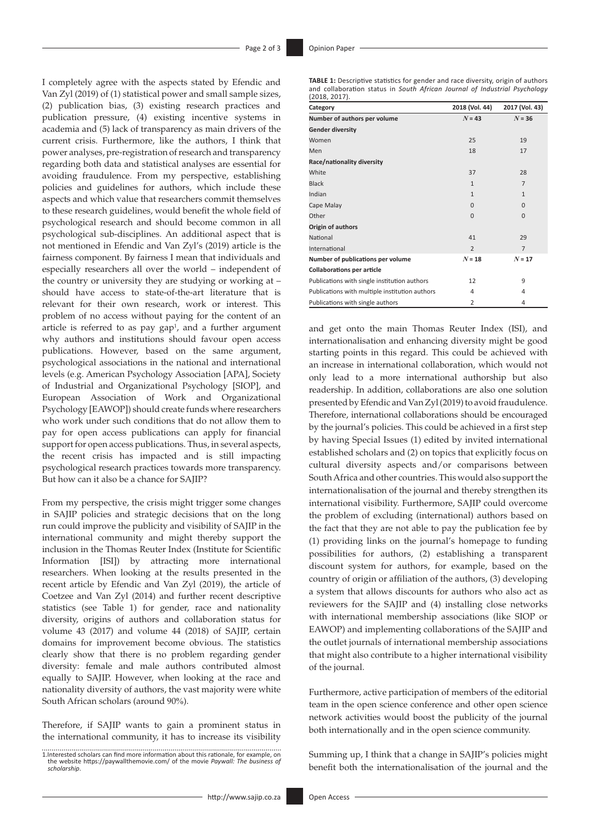I completely agree with the aspects stated by Efendic and Van Zyl (2019) of (1) statistical power and small sample sizes, (2) publication bias, (3) existing research practices and publication pressure, (4) existing incentive systems in academia and (5) lack of transparency as main drivers of the current crisis. Furthermore, like the authors, I think that power analyses, pre-registration of research and transparency regarding both data and statistical analyses are essential for avoiding fraudulence. From my perspective, establishing policies and guidelines for authors, which include these aspects and which value that researchers commit themselves to these research guidelines, would benefit the whole field of psychological research and should become common in all psychological sub-disciplines. An additional aspect that is not mentioned in Efendic and Van Zyl's (2019) article is the fairness component. By fairness I mean that individuals and especially researchers all over the world – independent of the country or university they are studying or working at – should have access to state-of-the-art literature that is relevant for their own research, work or interest. This problem of no access without paying for the content of an article is referred to as pay  $gap<sup>1</sup>$ , and a further argument why authors and institutions should favour open access publications. However, based on the same argument, psychological associations in the national and international levels (e.g. American Psychology Association [APA], Society of Industrial and Organizational Psychology [SIOP], and European Association of Work and Organizational Psychology [EAWOP]) should create funds where researchers who work under such conditions that do not allow them to pay for open access publications can apply for financial support for open access publications. Thus, in several aspects, the recent crisis has impacted and is still impacting psychological research practices towards more transparency. But how can it also be a chance for SAJIP?

From my perspective, the crisis might trigger some changes in SAJIP policies and strategic decisions that on the long run could improve the publicity and visibility of SAJIP in the international community and might thereby support the inclusion in the Thomas Reuter Index (Institute for Scientific Information [ISI]) by attracting more international researchers. When looking at the results presented in the recent article by Efendic and Van Zyl (2019), the article of Coetzee and Van Zyl (2014) and further recent descriptive statistics (see Table 1) for gender, race and nationality diversity, origins of authors and collaboration status for volume 43 (2017) and volume 44 (2018) of SAJIP, certain domains for improvement become obvious. The statistics clearly show that there is no problem regarding gender diversity: female and male authors contributed almost equally to SAJIP. However, when looking at the race and nationality diversity of authors, the vast majority were white South African scholars (around 90%).

Therefore, if SAJIP wants to gain a prominent status in the international community, it has to increase its visibility

**TABLE 1:** Descriptive statistics for gender and race diversity, origin of authors and collaboration status in *South African Journal of Industrial Psychology* (2018, 2017).

| Category                                       | 2018 (Vol. 44) | 2017 (Vol. 43) |
|------------------------------------------------|----------------|----------------|
| Number of authors per volume                   | $N = 43$       | $N = 36$       |
| <b>Gender diversity</b>                        |                |                |
| Women                                          | 25             | 19             |
| Men                                            | 18             | 17             |
| Race/nationality diversity                     |                |                |
| White                                          | 37             | 28             |
| <b>Black</b>                                   | $\mathbf{1}$   | $\overline{7}$ |
| Indian                                         | $\mathbf{1}$   | $\mathbf{1}$   |
| Cape Malay                                     | $\Omega$       | $\Omega$       |
| Other                                          | $\Omega$       | $\Omega$       |
| Origin of authors                              |                |                |
| National                                       | 41             | 29             |
| International                                  | $\overline{2}$ | $\overline{7}$ |
| Number of publications per volume              | $N = 18$       | $N = 17$       |
| <b>Collaborations per article</b>              |                |                |
| Publications with single institution authors   | 12             | 9              |
| Publications with multiple institution authors | 4              | 4              |
| Publications with single authors               | 2              | 4              |

and get onto the main Thomas Reuter Index (ISI), and internationalisation and enhancing diversity might be good starting points in this regard. This could be achieved with an increase in international collaboration, which would not only lead to a more international authorship but also readership. In addition, collaborations are also one solution presented by Efendic and Van Zyl (2019) to avoid fraudulence. Therefore, international collaborations should be encouraged by the journal's policies. This could be achieved in a first step by having Special Issues (1) edited by invited international established scholars and (2) on topics that explicitly focus on cultural diversity aspects and/or comparisons between South Africa and other countries. This would also support the internationalisation of the journal and thereby strengthen its international visibility. Furthermore, SAJIP could overcome the problem of excluding (international) authors based on the fact that they are not able to pay the publication fee by (1) providing links on the journal's homepage to funding possibilities for authors, (2) establishing a transparent discount system for authors, for example, based on the country of origin or affiliation of the authors, (3) developing a system that allows discounts for authors who also act as reviewers for the SAJIP and (4) installing close networks with international membership associations (like SIOP or EAWOP) and implementing collaborations of the SAJIP and the outlet journals of international membership associations that might also contribute to a higher international visibility of the journal.

Furthermore, active participation of members of the editorial team in the open science conference and other open science network activities would boost the publicity of the journal both internationally and in the open science community.

Summing up, I think that a change in SAJIP's policies might benefit both the internationalisation of the journal and the

<sup>1.</sup>Interested scholars can find more information about this rationale, for example, on the website <https://paywallthemovie.com/> of the movie *Paywall: The business of scholarship*.